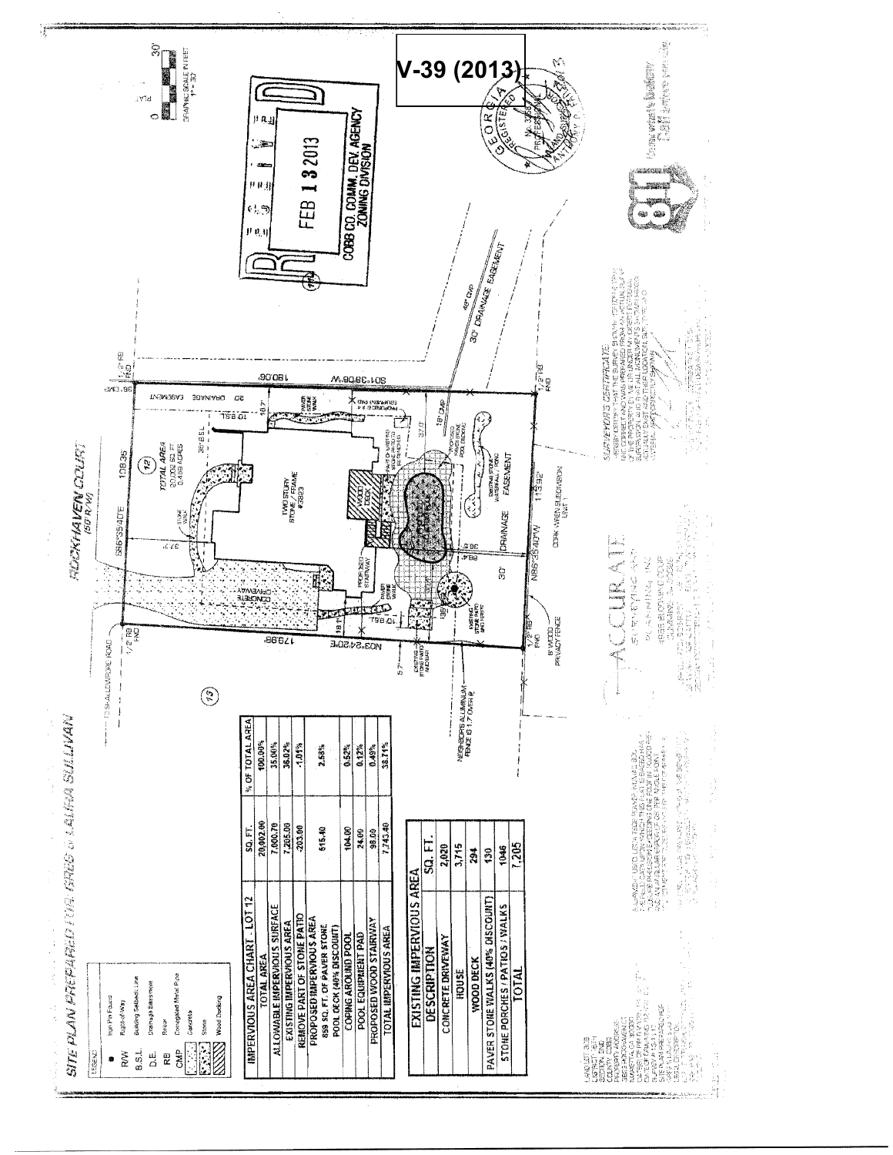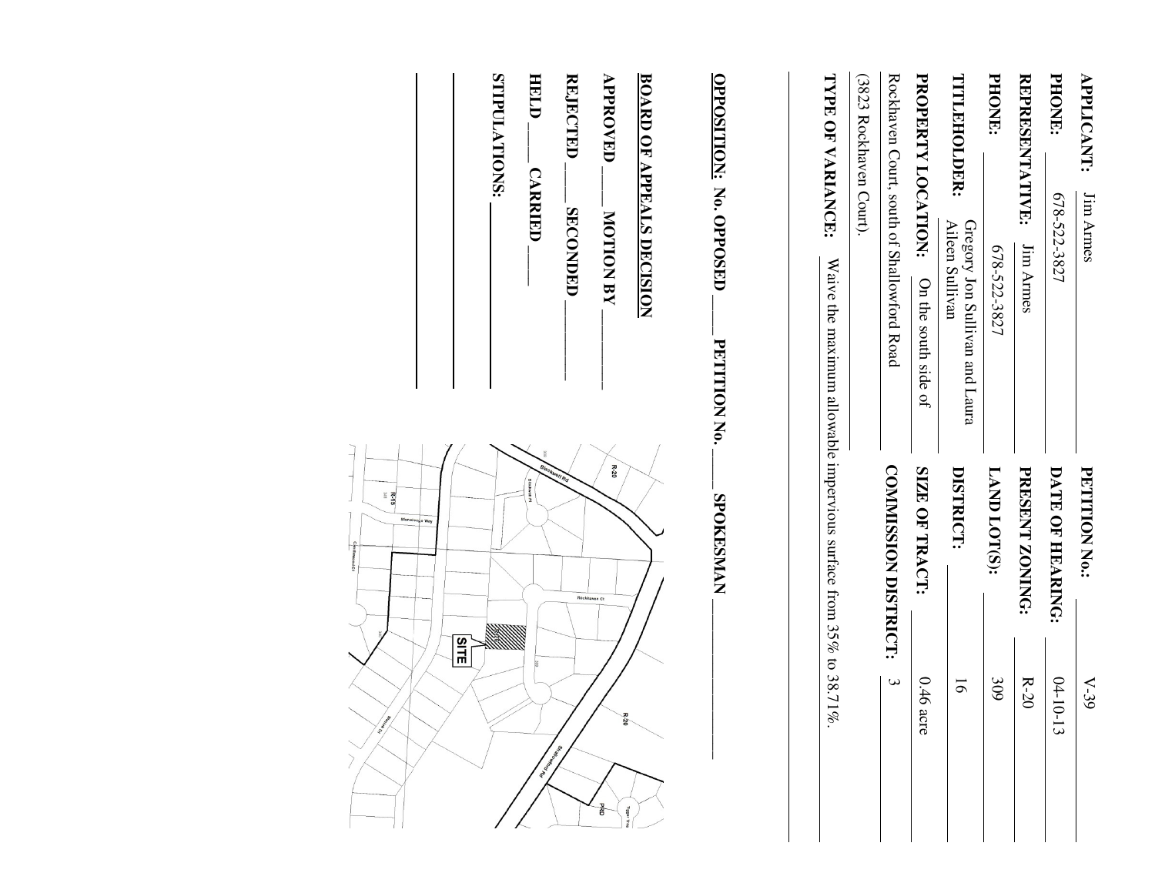| <b>APPLICANT:</b><br>Jim Armes                                                          | <b>PETITION No.:</b>        | $V-39$                           |
|-----------------------------------------------------------------------------------------|-----------------------------|----------------------------------|
| PHONE<br>678-522-3827                                                                   | DATE OF HEARING:            | $04 - 10 - 1$<br>$\Xi$           |
| <b>REPRESENTATIVE:</b><br>Jim Armes                                                     | <b>PRESENT ZONING:</b>      | $R-20$                           |
| PHONE:<br>678-522-3827                                                                  | LAND LOT(S):                | 309                              |
| TITLEHOLDER:<br>Gregory Jon Sullivan and Laura<br>Aileen Sullivan                       | DISTRICT:                   | $\overline{5}$                   |
| PROPERTY LOCATION:<br>On the south side of                                              | SIZE OF TRACT:              | $0.46$ acre                      |
| Rockhaven Court, south of Shallowford Road                                              | <b>COMMISSION DISTRICT:</b> | $\mathbf{\omega}$                |
| (3823 Rockhaven Court).                                                                 |                             |                                  |
| TYPE OF VARIANCE:<br>Waive the maximum allowable impervious surface from 35% to 38.71%. |                             |                                  |
| OPPOSITION: No. OPPOSED<br><b>PETITION No.</b>                                          | <b>SPOKESMAN</b>            |                                  |
| <b>BOARD OF APPEALS DECISION</b>                                                        |                             |                                  |
| <b>APPROVED</b><br><b>MOTION BY</b>                                                     | $R-20$<br>Rockhaven Ct      | õ<br><b>BRD</b><br><b>1000st</b> |
| <b>REJECTED</b><br><b>SECONDED</b>                                                      |                             |                                  |

HELD-**HELD \_\_\_\_\_ CARRIED \_\_\_\_\_ CARRIED** 

STIPULATIONS: **STIPULATIONS:** 

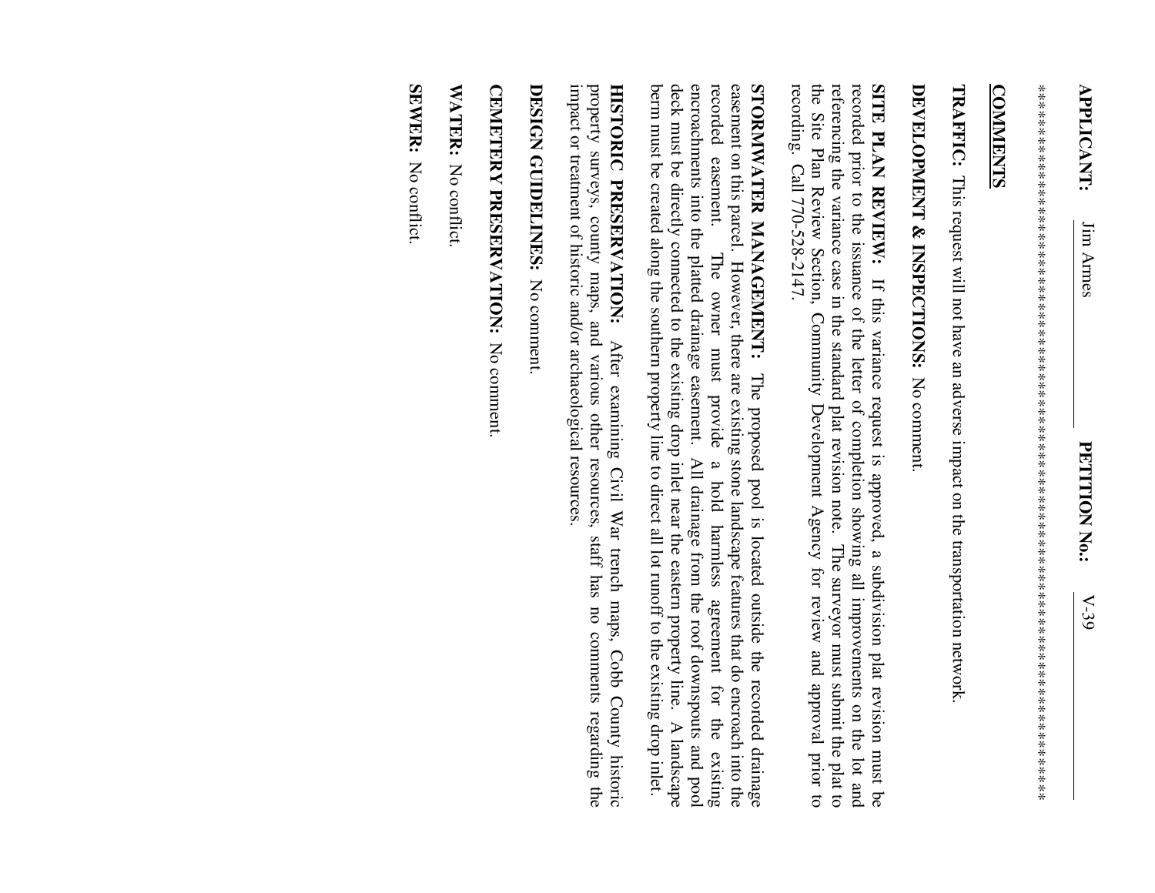\*\*\*\*\*\*\*\*\*\*\*\*\*\*\*\*\*\*\*\*\*\*\*\*\*\*\*\*\*\*\*\*\*\*\*\*\*\*\*\*\*\*\*\*\*\*\*\*\*\*\*\*\*\*\*\*\*\*\*\*\*\*\*\*\*\*\*\*\*\*\*\*\*\*\*\*\*\*\*\*\*\* 

## **COMMENTS COMMENTS**

**TRAFFIC:**  This request will not have an adverse impact on the transportation network.

## DEVELOPMENT & INSPECTIONS: No comment **DEVELOPMENT & INSPECTIONS:**  No comment.

the Site Plan Review Section, Community Development Agency for review and approval prior to referencing the variance case in the standard plat revision note. The surveyor must submit the plat to recorded prior to the issuance of the letter of completion showing all improvements on the lot and SITE PLAN REVIEW: If this variance request is approved, a subdivision plat revision must be recording. Call 770-528-2147. recording. Call 770-528-2147. the Site Plan Review Section, Community Devel referencing the variance case in the standard plat revision note. The surveyor must submit the plat to recorded prior to the issuance of the letter of completion showing all improvements on the lot and **SITE PLAN REVIEW:** If this variance request is approved, a subdivision plat revision must be opment Agency for review and approval prior to

deck must be directly connected to the existing drop inlet near the eastern property line. encroachments into the platted drainage easement. All drainage from the roof downspouts and pool easement on this parcel. However, there are existing stone landscape features that do encroach into the STORNIWATER MANAGEMENT: The proposed pool is located outside the recorded drainage berm must be created along the southern property line to direct all lot runoff to the existing drop inlet. berm must be created along the southern property line to deck must be directly connected to the existing drop inlet near the eastern property line. A landscape encroachments into the platted dr recorded easement. The owner must provide a hold harmless agreement for the existing recorded easement. easement on this parcel. However, there are existing stone landscape features that do encroach into the **STORMWATER MANAGEMENT:**  The owner must provide ainage easement. All drainage from the roof downspouts and pool The proposed pool is located outside the recorded drainage a hold harmless agreement for the direct all lot runoff to the existing drop inlet. A landscape existing

impact or treatment of historic and/or archaeological resources impact or treatment of historic and/or archaeological resources. property surveys, county maps, and various other resources, staff has no comments regarding the property surveys, county maps, and various other resources, staff has no comments regarding the HISTORIC PRESERVATION: **HISTORIC PRESERVATION:** After examining Civil War trench maps, Cobb County historic After examining Civil War trench maps, Cobb County historic

DESIGN GUIDELINES: No comment **DESIGN GUIDELINES:** No comment.

CEMETERY PRESERVATION: No comment **CEMETERY PRESERVATION:** No comment.

WATER: No conflict. WATER: No conflict.

SEWER: No conflict. **SEWER:** No conflict.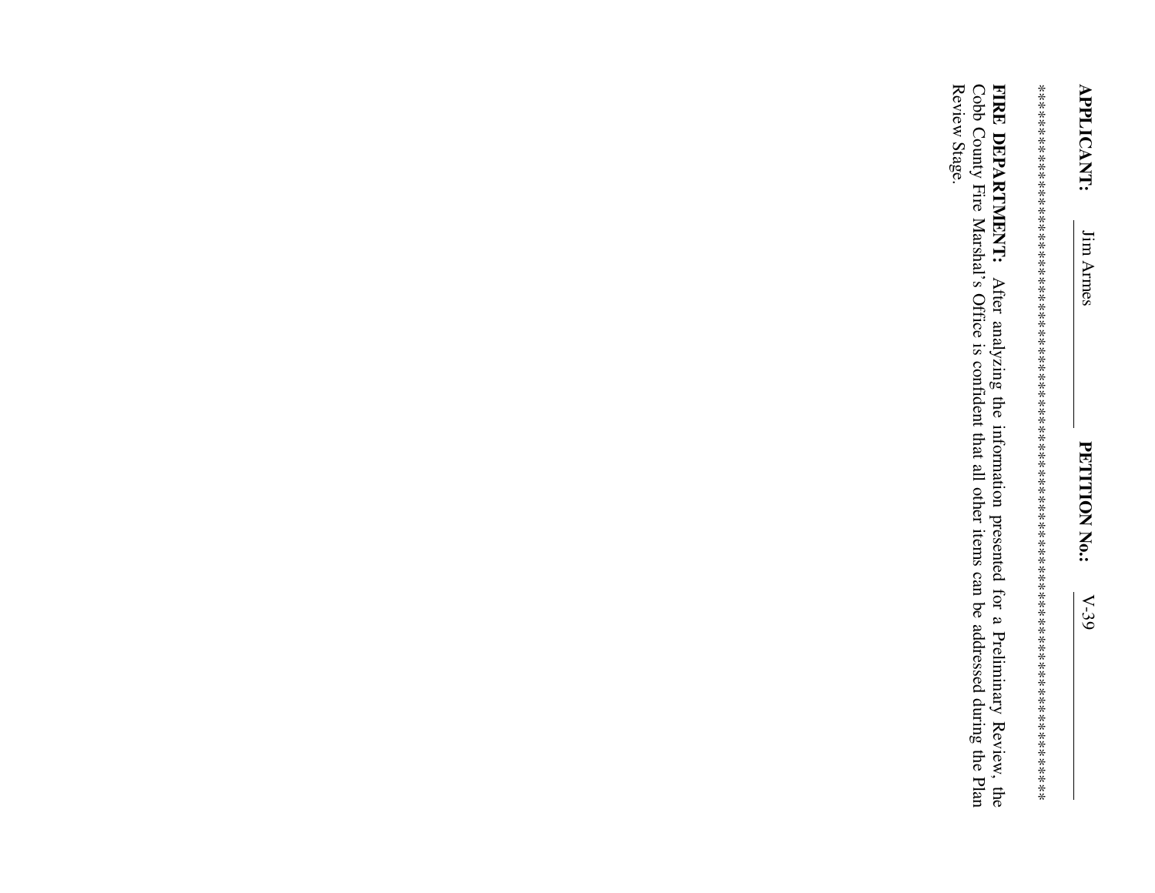Review Stage. FIRE DEPARTMENT: After analyzing the information presented for a Preliminary Review, the Cobb County Fire Marshal's Office is confident that all other items can be addressed during the Plan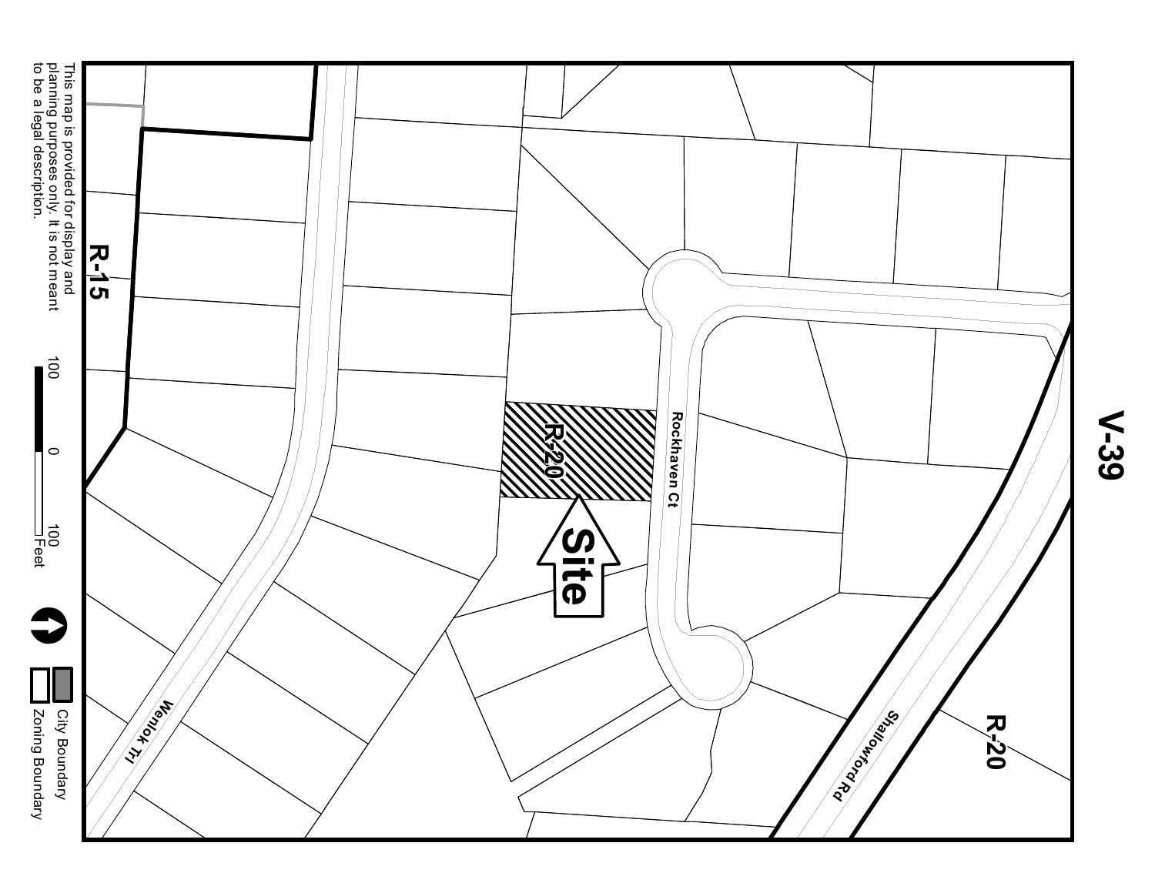

**V-39**